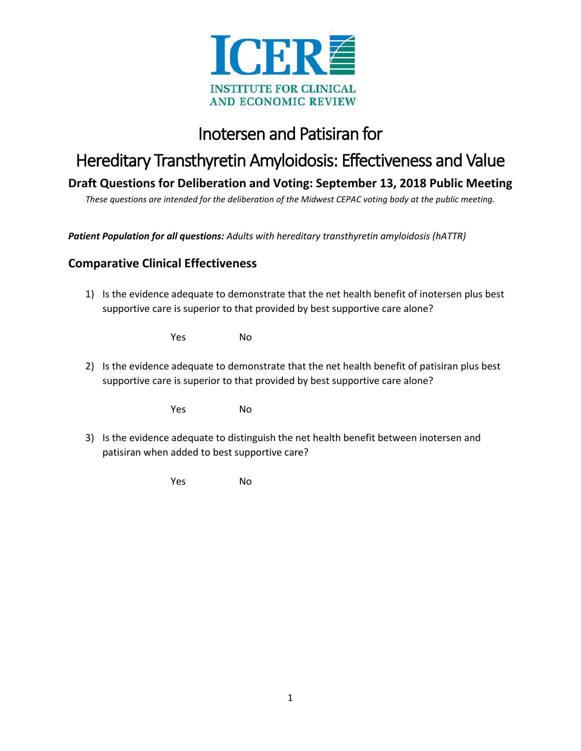

## Inotersen and Patisiran for

# Hereditary Transthyretin Amyloidosis: Effectiveness and Value

**Draft Questions for Deliberation and Voting: September 13, 2018 Public Meeting**

*These questions are intended for the deliberation of the Midwest CEPAC voting body at the public meeting.*

*Patient Population for all questions: Adults with hereditary transthyretin amyloidosis (hATTR)*

#### **Comparative Clinical Effectiveness**

1) Is the evidence adequate to demonstrate that the net health benefit of inotersen plus best supportive care is superior to that provided by best supportive care alone?

Yes No

2) Is the evidence adequate to demonstrate that the net health benefit of patisiran plus best supportive care is superior to that provided by best supportive care alone?

Yes No

3) Is the evidence adequate to distinguish the net health benefit between inotersen and patisiran when added to best supportive care?

Yes No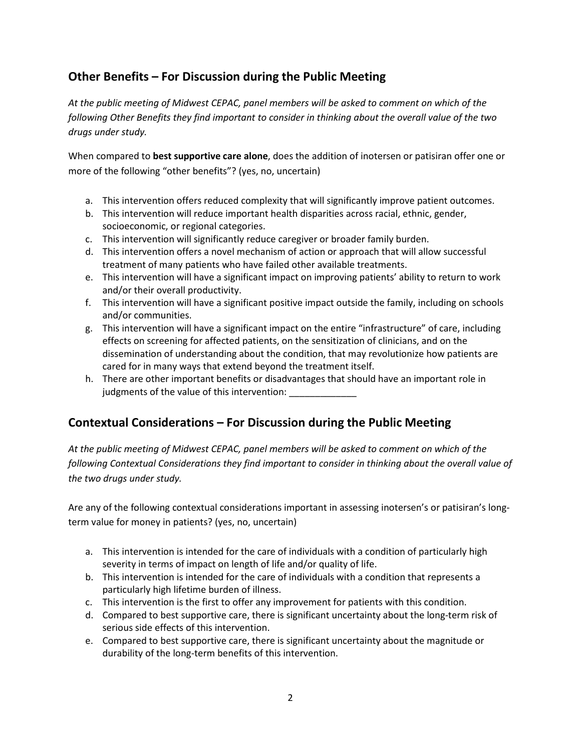## **Other Benefits – For Discussion during the Public Meeting**

*At the public meeting of Midwest CEPAC, panel members will be asked to comment on which of the following Other Benefits they find important to consider in thinking about the overall value of the two drugs under study.*

When compared to **best supportive care alone**, does the addition of inotersen or patisiran offer one or more of the following "other benefits"? (yes, no, uncertain)

- a. This intervention offers reduced complexity that will significantly improve patient outcomes.
- b. This intervention will reduce important health disparities across racial, ethnic, gender, socioeconomic, or regional categories.
- c. This intervention will significantly reduce caregiver or broader family burden.
- d. This intervention offers a novel mechanism of action or approach that will allow successful treatment of many patients who have failed other available treatments.
- e. This intervention will have a significant impact on improving patients' ability to return to work and/or their overall productivity.
- f. This intervention will have a significant positive impact outside the family, including on schools and/or communities.
- g. This intervention will have a significant impact on the entire "infrastructure" of care, including effects on screening for affected patients, on the sensitization of clinicians, and on the dissemination of understanding about the condition, that may revolutionize how patients are cared for in many ways that extend beyond the treatment itself.
- h. There are other important benefits or disadvantages that should have an important role in judgments of the value of this intervention:

### **Contextual Considerations – For Discussion during the Public Meeting**

*At the public meeting of Midwest CEPAC, panel members will be asked to comment on which of the following Contextual Considerations they find important to consider in thinking about the overall value of the two drugs under study.*

Are any of the following contextual considerations important in assessing inotersen's or patisiran's longterm value for money in patients? (yes, no, uncertain)

- a. This intervention is intended for the care of individuals with a condition of particularly high severity in terms of impact on length of life and/or quality of life.
- b. This intervention is intended for the care of individuals with a condition that represents a particularly high lifetime burden of illness.
- c. This intervention is the first to offer any improvement for patients with this condition.
- d. Compared to best supportive care, there is significant uncertainty about the long-term risk of serious side effects of this intervention.
- e. Compared to best supportive care, there is significant uncertainty about the magnitude or durability of the long-term benefits of this intervention.